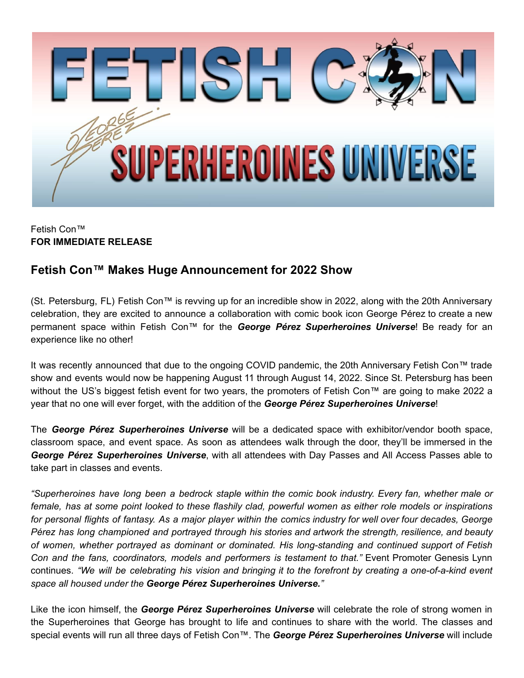

## Fetish Con™ **FOR IMMEDIATE RELEASE**

## **Fetish Con™ Makes Huge Announcement for 2022 Show**

(St. Petersburg, FL) Fetish Con™ is revving up for an incredible show in 2022, along with the 20th Anniversary celebration, they are excited to announce a collaboration with comic book icon George Pérez to create a new permanent space within Fetish Con™ for the *George Pérez Superheroines Universe*! Be ready for an experience like no other!

It was recently announced that due to the ongoing COVID pandemic, the 20th Anniversary Fetish Con™ trade show and events would now be happening August 11 through August 14, 2022. Since St. Petersburg has been without the US's biggest fetish event for two years, the promoters of Fetish Con™ are going to make 2022 a year that no one will ever forget, with the addition of the *George Pérez Superheroines Universe*!

The *George Pérez Superheroines Universe* will be a dedicated space with exhibitor/vendor booth space, classroom space, and event space. As soon as attendees walk through the door, they'll be immersed in the *George Pérez Superheroines Universe*, with all attendees with Day Passes and All Access Passes able to take part in classes and events.

*"Superheroines have long been a bedrock staple within the comic book industry. Every fan, whether male or* female, has at some point looked to these flashily clad, powerful women as either role models or inspirations for personal flights of fantasy. As a major player within the comics industry for well over four decades, George *Pérez has long championed and portrayed through his stories and artwork the strength, resilience, and beauty of women, whether portrayed as dominant or dominated. His long-standing and continued support of Fetish Con and the fans, coordinators, models and performers is testament to that."* Event Promoter Genesis Lynn continues. "We will be celebrating his vision and bringing it to the forefront by creating a one-of-a-kind event *space all housed under the George Pérez Superheroines Universe."*

Like the icon himself, the *George Pérez Superheroines Universe* will celebrate the role of strong women in the Superheroines that George has brought to life and continues to share with the world. The classes and special events will run all three days of Fetish Con™. The *George Pérez Superheroines Universe* will include